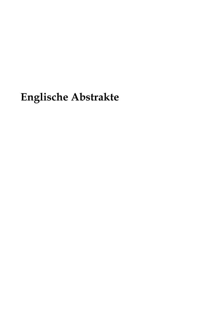# **Englische Abstrakte**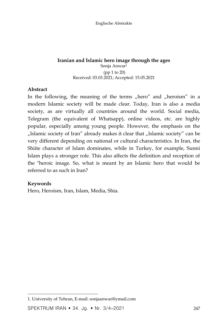## **Iranian and Islamic hero image through the ages**

Sonja Anwar<sup>1</sup> (pp 1 to 20) Received: 03.03.2021; Accepted: 15.05.2021

#### **Abstract**

In the following, the meaning of the terms "hero" and "heroism" in a modern Islamic society will be made clear. Today, Iran is also a media society, as are virtually all countries around the world. Social media, Telegram (the equivalent of Whatsapp), online videos, etc. are highly popular, especially among young people. However, the emphasis on the "Islamic society of Iran" already makes it clear that "Islamic society" can be very different depending on national or cultural characteristics. In Iran, the Shiite character of Islam dominates, while in Turkey, for example, Sunni Islam plays a stronger role. This also affects the definition and reception of the "heroic image. So, what is meant by an Islamic hero that would be referred to as such in Iran?

## **Keywords**

 $\overline{\phantom{a}}$ 

Hero, Heroism, Iran, Islam, Media, Shia.

<sup>1.</sup> University of Tehran, E-mail: sonjaanwar@ymail.com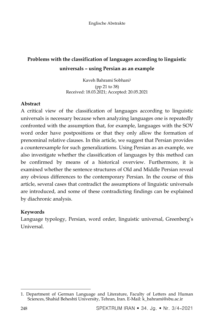# **Problems with the classification of languages according to linguistic universals – using Persian as an example**

Kaveh Bahrami Sobhani<sup>1</sup> (pp 21 to 38) Received: 18.03.2021; Accepted: 20.05.2021

## **Abstract**

A critical view of the classification of languages according to linguistic universals is necessary because when analyzing languages one is repeatedly confronted with the assumption that, for example, languages with the SOV word order have postpositions or that they only allow the formation of prenominal relative clauses. In this article, we suggest that Persian provides a counterexample for such generalizations. Using Persian as an example, we also investigate whether the classification of languages by this method can be confirmed by means of a historical overview. Furthermore, it is examined whether the sentence structures of Old and Middle Persian reveal any obvious differences to the contemporary Persian. In the course of this article, several cases that contradict the assumptions of linguistic universals are introduced, and some of these contradicting findings can be explained by diachronic analysis.

## **Keywords**

Language typology, Persian, word order, linguistic universal, Greenberg's Universal.

 $\overline{a}$ 1. Department of German Language and Literature, Faculty of Letters and Human Sciences, Shahid Beheshti University, Tehran, Iran. E-Mail: k\_bahrami@sbu.ac.ir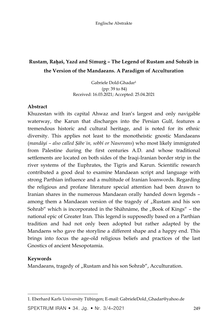# **Rustam, Raḫaš, Yazd and Sīmurġ – The Legend of Rustam and Sohrāb in the Version of the Mandaeans. A Paradigm of Acculturation**

Gabriele Dold-Ghadar<sup>1</sup> (pp: 39 to 84) Received: 16.03.2021; Accepted: 25.04.2021

#### **Abstract**

Khuzestan with its capital Ahwaz and Iran's largest and only navigable waterway, the Karun that discharges into the Persian Gulf, features a tremendous historic and cultural heritage, and is noted for its ethnic diversity. This applies not least to the monotheistic gnostic Mandaeans (*mandāyi – also called Ṣābeʾin, sobbī or Nasoreans*) who most likely immigrated from Palestine during the first centuries A.D. and whose traditional settlements are located on both sides of the Iraqi-Iranian border strip in the river systems of the Euphrates, the Tigris and Karun. Scientific research contributed a good deal to examine Mandaean script and language with strong Parthian influence and a multitude of Iranian loanwords. Regarding the religious and profane literature special attention had been drawn to Iranian shares in the numerous Mandaean orally handed down legends – among them a Mandaean version of the tragedy of "Rustam and his son Sohrab" which is incorporated in the Shāhnāme, the "Book of Kings" – the national epic of Greater Iran. This legend is supposedly based on a Parthian tradition and had not only been adopted but rather adapted by the Mandaens who gave the storyline a different shape and a happy end. This brings into focus the age-old religious beliefs and practices of the last Gnostics of ancient Mesopotamia.

#### **Keywords**

Mandaeans, tragedy of "Rustam and his son Sohrab", Acculturation.

SPEKTRUM IRAN • 34. Jg. • Nr. 3/4-2021 249

 $\overline{\phantom{a}}$ 1. Eberhard Karls University Tübingen; E-mail: GabrieleDold\_Ghadar@yahoo.de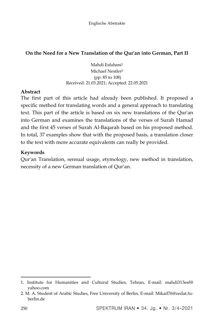## **On the Need for a New Translation of the Qur'an into German, Part II**

Mahdi Esfahani<sup>1</sup> Michael Nestler<sup>2</sup> (pp: 85 to 108) Received: 21.03.2021; Accepted: 22.05.2021

#### **Abstract**

The first part of this article had already been published. It proposed a specific method for translating words and a general approach to translating text. This part of the article is based on six new translations of the Qur'an into German and examines the translations of the verses of Surah Hamad and the first 45 verses of Surah Al-Baqarah based on his proposed method. In total, 37 examples show that with the proposed basis, a translation closer to the text with more accurate equivalents can really be provided.

## **Keywords**

Qur'an Translation, sensual usage, etymology, new method in translation, necessity of a new German translation of Qur'an.

 $\ddot{\phantom{a}}$ 

<sup>1.</sup> Institute for Humanities and Cultural Studies, Tehran, E-mail: mahdi313esf@ yahoo.com

<sup>2.</sup> M. A. Student of Arabic Studies, Free University of Berlin, E-mail: Mikail76@zedat.fuberlin.de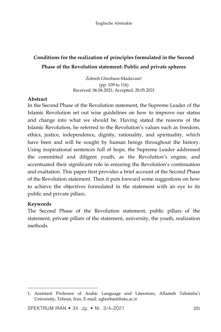# **Conditions for the realization of principles formulated in the Second Phase of the Revolution statement: Public and private spheres**

Zohreh Ghorbani-Madavani<sup>1</sup> (pp: 109 to 116) Received: 06.04.2021; Accepted: 28.05.2021

#### **Abstract**

In the Second Phase of the Revolution statement, the Supreme Leader of the Islamic Revolution set out wise guidelines on how to improve our status and change into what we should be. Having stated the reasons of the Islamic Revolution, he referred to the Revolution's values such as freedom, ethics, justice, independence, dignity, rationality, and spirituality, which have been and will be sought by human beings throughout the history. Using inspirational sentences full of hope, the Supreme Leader addressed the committed and diligent youth, as the Revolution's engine, and accentuated their significant role in ensuring the Revolution's continuation and exaltation. This paper first provides a brief account of the Second Phase of the Revolution statement. Then it puts forward some suggestions on how to achieve the objectives formulated in the statement with an eye to its public and private pillars.

#### **Keywords**

 $\overline{\phantom{a}}$ 

The Second Phase of the Revolution statement, public pillars of the statement, private pillars of the statement, university, the youth, realization methods.

SPEKTRUM IRAN  $\bullet$  34. Jg.  $\bullet$  Nr. 3/4–2021 251

<sup>1</sup>. Assistant Professor of Arabic Language and Literature, Allameh Tabataba'i University, Tehran, Iran, E-mail: zghorbani@atu.ac.ir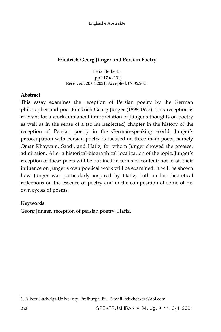## **Friedrich Georg Jünger and Persian Poetry**

Felix Herkert <sup>1</sup> (pp 117 to 131) Received: 20.04.2021; Accepted: 07.06.2021

## **Abstract**

This essay examines the reception of Persian poetry by the German philosopher and poet Friedrich Georg Jünger (1898-1977). This reception is relevant for a work-immanent interpretation of Jünger's thoughts on poetry as well as in the sense of a (so far neglected) chapter in the history of the reception of Persian poetry in the German-speaking world. Jünger's preoccupation with Persian poetry is focused on three main poets, namely Omar Khayyam, Saadi, and Hafiz, for whom Jünger showed the greatest admiration. After a historical-biographical localization of the topic, Jünger's reception of these poets will be outlined in terms of content; not least, their influence on Jünger's own poetical work will be examined. It will be shown how Jünger was particularly inspired by Hafiz, both in his theoretical reflections on the essence of poetry and in the composition of some of his own cycles of poems.

## **Keywords**

Georg Jünger, reception of persian poetry, Hafiz.

 $\overline{a}$ 1. Albert-Ludwigs-University, Freiburg i. Br., E-mail: felixherkert@aol.com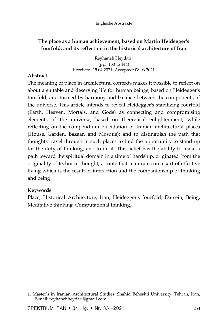## **The place as a human achievement, based on Martin Heidegger's fourfold; and its reflection in the historical architecture of Iran**

Reyhaneh Heydari<sup>1</sup> (pp: 133 to 144) Received: 15.04.2021; Accepted: 08.06.2021

#### **Abstract**

The meaning of place in architectural contexts makes it possible to reflect on about a suitable and deserving life for human beings, based on Heidegger's fourfold, and formed by harmony and balance between the components of the universe. This article intends to reveal Heidegger's stabilizing fourfold (Earth, Heaven, Mortals, and Gods) as connecting and compromising elements of the universe, based on theoretical enlightenment; while reflecting on the compendium elucidation of Iranian architectural places (House, Garden, Bazaar, and Mosque); and to distinguish the path that thoughts travel through in such places to find the opportunity to stand up for the duty of thinking, and to do it. This belief has the ability to make a path toward the spiritual domain in a time of hardship, originated from the originality of technical thought; a route that maturates on a sort of effective living which is the result of interaction and the companionship of thinking and being

## **Keywords**

Place, Historical Architecture, Iran, Heidegger's fourfold, Da-sein, Being, Meditative thinking, Computational thinking.

 $\overline{\phantom{a}}$ 1. Master's in Iranian Architectural Studies, Shahid Beheshti University, Tehran, Iran, E-mail: reyhanehheydari@gmail.com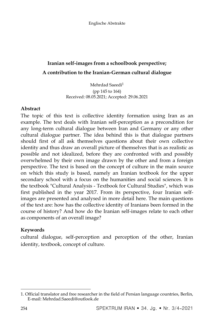# **Iranian self-images from a schoolbook perspective; A contribution to the Iranian-German cultural dialogue**

Mehrdad Saeedi<sup>1</sup> (pp 145 to 164) Received: 08.05.2021; Accepted: 29.06.2021

## **Abstract**

The topic of this text is collective identity formation using Iran as an example. The text deals with Iranian self-perception as a precondition for any long-term cultural dialogue between Iran and Germany or any other cultural dialogue partner. The idea behind this is that dialogue partners should first of all ask themselves questions about their own collective identity and thus draw an overall picture of themselves that is as realistic as possible and not idealized, before they are confronted with and possibly overwhelmed by their own image drawn by the other and from a foreign perspective. The text is based on the concept of culture in the main source on which this study is based, namely an Iranian textbook for the upper secondary school with a focus on the humanities and social sciences. It is the textbook "Cultural Analysis - Textbook for Cultural Studies", which was first published in the year 2017. From its perspective, four Iranian selfimages are presented and analysed in more detail here. The main questions of the text are: how has the collective identity of Iranians been formed in the course of history? And how do the Iranian self-images relate to each other as components of an overall image?

## **Keywords**

cultural dialogue, self-perception and perception of the other, Iranian identity, textbook, concept of culture.

 $\overline{a}$ 1. Official translator and free researcher in the field of Persian language countries, Berlin, E-mail: Mehrdad.Saeedi@outlook.de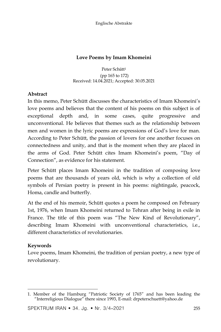Englische Abstrakte

## **Love Poems by Imam Khomeini**

Peter Schütt<sup>1</sup> (pp 165 to 172) Received: 14.04.2021; Accepted: 30.05.2021

## **Abstract**

In this memo, Peter Schütt discusses the characteristics of Imam Khomeini's love poems and believes that the content of his poems on this subject is of exceptional depth and, in some cases, quite progressive and unconventional. He believes that themes such as the relationship between men and women in the lyric poems are expressions of God's love for man. According to Peter Schütt, the passion of lovers for one another focuses on connectedness and unity, and that is the moment when they are placed in the arms of God. Peter Schütt cites Imam Khomeini's poem, "Day of Connection", as evidence for his statement.

Peter Schütt places Imam Khomeini in the tradition of composing love poems that are thousands of years old, which is why a collection of old symbols of Persian poetry is present in his poems: nightingale, peacock, Homa, candle and butterfly.

At the end of his memoir, Schütt quotes a poem he composed on February 1st, 1976, when Imam Khomeini returned to Tehran after being in exile in France. The title of this poem was "The New Kind of Revolutionary", describing Imam Khomeini with unconventional characteristics, i.e., different characteristics of revolutionaries.

## **Keywords**

Love poems, Imam Khomeini, the tradition of persian poetry, a new type of revolutionary.

SPEKTRUM IRAN  $\bullet$  34. Jg.  $\bullet$  Nr. 3/4–2021 255

 $\overline{\phantom{a}}$ 1. Member of the Hamburg "Patriotic Society of 1765" and has been leading the "Interreligious Dialogue" there since 1993, E-mail: drpeterschuett@yahoo.de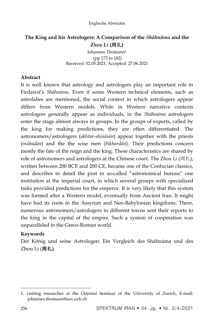## **The King and his Astrologers: A Comparison of the** *Shāhnāma* **and the Z***hou Li* **(**周礼**)**

Johannes Thomann<sup>1</sup> (pp 173 to 182) Received: 02.05.2021; Accepted: 27.06.2021

## **Abstract**

It is well known that astrology and astrologers play an important role in Firdawsī's *Shāhnāma*. Even if some Western technical elements, such as astrolabes are mentioned, the social context in which astrologers appear differs from Western models. While in Western narrative contexts astrologers generally appear as individuals, in the *Shāhnāma* astrologers enter the stage almost always in groups. In the groups of experts, called by the king for making predictions, they are often differentiated. The astronomers/astrologers (*akhtar-shināsān*) appear together with the priests (*mūbadān*) and the the wise men (*bikhardān*). Their predictions concern mostly the fate of the reign and the king. These characteristics are shared by role of astronomers and astrologers at the Chinese court. The Z*hou Li* (周礼), written between 200 BCE and 200 CE, became one of the Confucian classics, and describes in detail the post in so-called "astronomical bureau" one institution at the imperial court, in which several groups with specialized tasks provided predictions for the emperor. It is very likely that this system was formed after a Western model, eventually from Ancient Iran. It might have had its roots in the Assyrian and Neo-Babylonian kingdoms. There, numerous astronomers/astrologers in different towns sent their reports to the king in the capital of the empire. Such a system of cooperation was unparalleled in the Greco-Roman world.

## **Keywords**

Der König und seine Astrologen: Ein Vergleich des Shāhnāma und des Zhou Li (周礼**)**.

 $\overline{a}$ 1. visiting researcher at the Oriental Seminar of the University of Zurich, E-mail: johannes.thomann@aoi.uzh.ch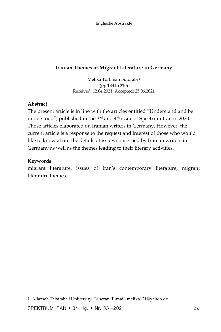## **Iranian Themes of Migrant Literature in Germany**

Melika Torkman Butorabi <sup>1</sup> (pp 183 to 210) Received: 12.04.2021; Accepted: 25.06.2021

## **Abstract**

The present article is in line with the articles entitled "Understand and be understood", published in the 3rd and 4th issue of Spectrum Iran in 2020. Those articles elaborated on Iranian writers in Germany. However, the current article is a response to the request and interest of those who would like to know about the details of issues concerned by Iranian writers in Germany as well as the themes leading to their literary activities.

## **Keywords**

migrant literature, issues of Iran's contemporary literature, migrant literature themes.

 $\overline{\phantom{a}}$ 1. Allameh Tabataba'i University, Teheran, E-mail: melika121@yahoo.de